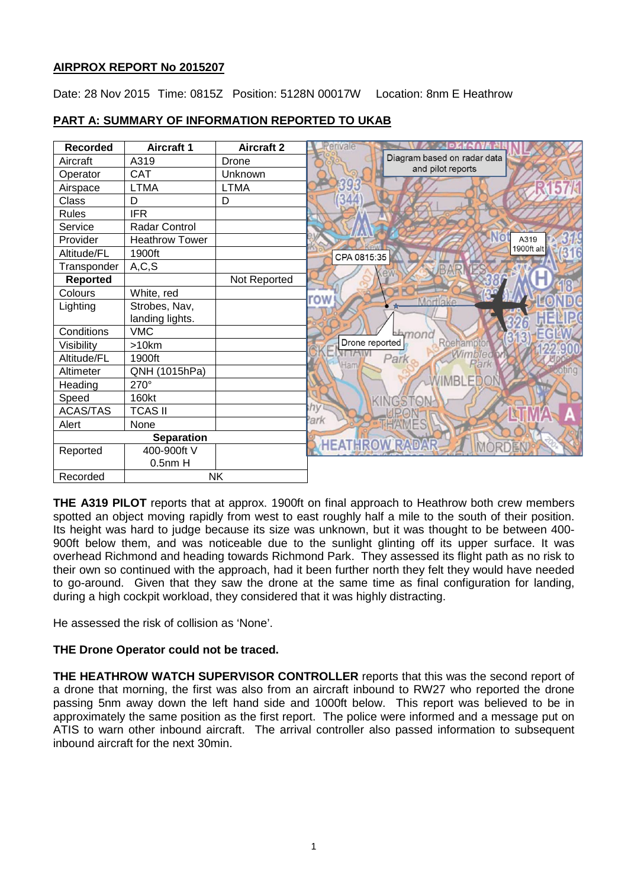# **AIRPROX REPORT No 2015207**

Date: 28 Nov 2015 Time: 0815Z Position: 5128N 00017W Location: 8nm E Heathrow

# **PART A: SUMMARY OF INFORMATION REPORTED TO UKAB**

| <b>Recorded</b> | <b>Aircraft 1</b>     | <b>Aircraft 2</b> | vale                             |
|-----------------|-----------------------|-------------------|----------------------------------|
| Aircraft        | A319                  | Drone             | Diagram based on radar data      |
| Operator        | <b>CAT</b>            | Unknown           | and pilot reports                |
| Airspace        | <b>LTMA</b>           | <b>LTMA</b>       |                                  |
| Class           | D                     | D                 |                                  |
| <b>Rules</b>    | <b>IFR</b>            |                   |                                  |
| Service         | <b>Radar Control</b>  |                   |                                  |
| Provider        | <b>Heathrow Tower</b> |                   | A319                             |
| Altitude/FL     | 1900ft                |                   | 1900ft alt<br>CPA 0815:35        |
| Transponder     | A, C, S               |                   |                                  |
| Reported        |                       | Not Reported      |                                  |
| Colours         | White, red            |                   | row                              |
| Lighting        | Strobes, Nav,         |                   | Mortlake                         |
|                 | landing lights.       |                   |                                  |
| Conditions      | <b>VMC</b>            |                   | hmond                            |
| Visibility      | >10km                 |                   | Drone reported<br><b>Roehamp</b> |
| Altitude/FL     | 1900ft                |                   | Vimbleon<br>Park<br>Park<br>Ham  |
| Altimeter       | QNH (1015hPa)         |                   |                                  |
| Heading         | 270°                  |                   |                                  |
| Speed           | 160kt                 |                   |                                  |
| <b>ACAS/TAS</b> | <b>TCAS II</b>        |                   | hv                               |
| Alert           | None                  |                   | 'ark                             |
|                 | <b>Separation</b>     |                   |                                  |
| Reported        | 400-900ft V           |                   | <b>HEATHROW RADA</b>             |
|                 | $0.5$ nm $H$          |                   |                                  |
| Recorded        |                       | <b>NK</b>         |                                  |

**THE A319 PILOT** reports that at approx. 1900ft on final approach to Heathrow both crew members spotted an object moving rapidly from west to east roughly half a mile to the south of their position. Its height was hard to judge because its size was unknown, but it was thought to be between 400- 900ft below them, and was noticeable due to the sunlight glinting off its upper surface. It was overhead Richmond and heading towards Richmond Park. They assessed its flight path as no risk to their own so continued with the approach, had it been further north they felt they would have needed to go-around. Given that they saw the drone at the same time as final configuration for landing, during a high cockpit workload, they considered that it was highly distracting.

He assessed the risk of collision as 'None'.

## **THE Drone Operator could not be traced.**

**THE HEATHROW WATCH SUPERVISOR CONTROLLER** reports that this was the second report of a drone that morning, the first was also from an aircraft inbound to RW27 who reported the drone passing 5nm away down the left hand side and 1000ft below. This report was believed to be in approximately the same position as the first report. The police were informed and a message put on ATIS to warn other inbound aircraft. The arrival controller also passed information to subsequent inbound aircraft for the next 30min.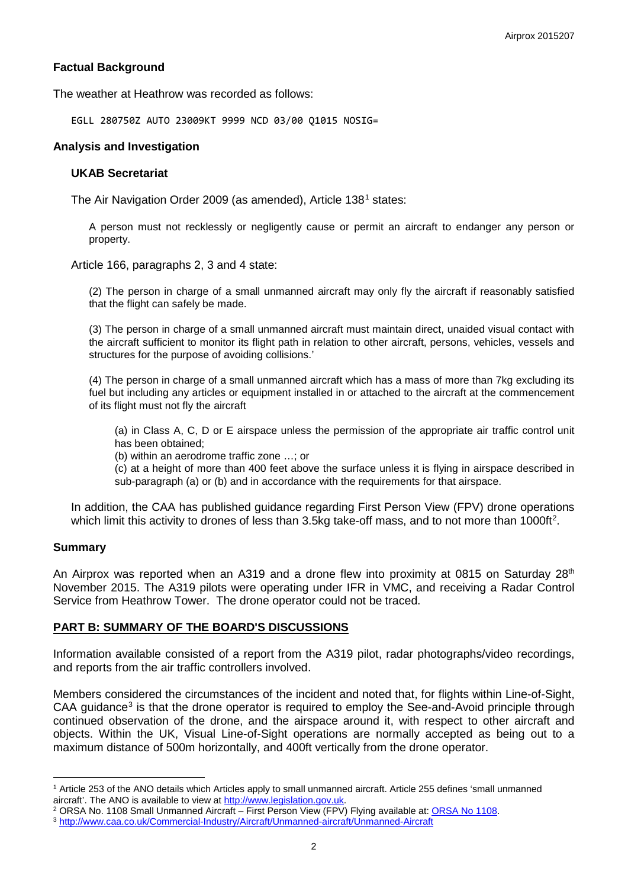## **Factual Background**

The weather at Heathrow was recorded as follows:

EGLL 280750Z AUTO 23009KT 9999 NCD 03/00 Q1015 NOSIG=

#### **Analysis and Investigation**

#### **UKAB Secretariat**

The Air Navigation Order 2009 (as amended), Article 138[1](#page-1-0) states:

A person must not recklessly or negligently cause or permit an aircraft to endanger any person or property.

Article 166, paragraphs 2, 3 and 4 state:

(2) The person in charge of a small unmanned aircraft may only fly the aircraft if reasonably satisfied that the flight can safely be made.

(3) The person in charge of a small unmanned aircraft must maintain direct, unaided visual contact with the aircraft sufficient to monitor its flight path in relation to other aircraft, persons, vehicles, vessels and structures for the purpose of avoiding collisions.'

(4) The person in charge of a small unmanned aircraft which has a mass of more than 7kg excluding its fuel but including any articles or equipment installed in or attached to the aircraft at the commencement of its flight must not fly the aircraft

(a) in Class A, C, D or E airspace unless the permission of the appropriate air traffic control unit has been obtained;

(b) within an aerodrome traffic zone …; or

(c) at a height of more than 400 feet above the surface unless it is flying in airspace described in sub-paragraph (a) or (b) and in accordance with the requirements for that airspace.

In addition, the CAA has published guidance regarding First Person View (FPV) drone operations which limit this activity to drones of less than 3.5kg take-off mass, and to not more than 1000ft<sup>[2](#page-1-1)</sup>.

#### **Summary**

 $\overline{\phantom{a}}$ 

An Airprox was reported when an A319 and a drone flew into proximity at 0815 on Saturday 28<sup>th</sup> November 2015. The A319 pilots were operating under IFR in VMC, and receiving a Radar Control Service from Heathrow Tower. The drone operator could not be traced.

#### **PART B: SUMMARY OF THE BOARD'S DISCUSSIONS**

Information available consisted of a report from the A319 pilot, radar photographs/video recordings, and reports from the air traffic controllers involved.

Members considered the circumstances of the incident and noted that, for flights within Line-of-Sight, CAA guidance<sup>[3](#page-1-2)</sup> is that the drone operator is required to employ the See-and-Avoid principle through continued observation of the drone, and the airspace around it, with respect to other aircraft and objects. Within the UK, Visual Line-of-Sight operations are normally accepted as being out to a maximum distance of 500m horizontally, and 400ft vertically from the drone operator.

<span id="page-1-0"></span><sup>&</sup>lt;sup>1</sup> Article 253 of the ANO details which Articles apply to small unmanned aircraft. Article 255 defines 'small unmanned aircraft'. The ANO is available to view at http://www.legislation.gov.uk.

<span id="page-1-1"></span><sup>&</sup>lt;sup>2</sup> ORSA No. 1108 Small Unmanned Aircraft – First Person View (FPV) Flying available at: ORSA No 1108.<br><sup>3</sup> http://www.caa.co.uk/Commercial-Industry/Aircraft/Unmanned-aircraft/Unmanned-Aircraft

<span id="page-1-2"></span>